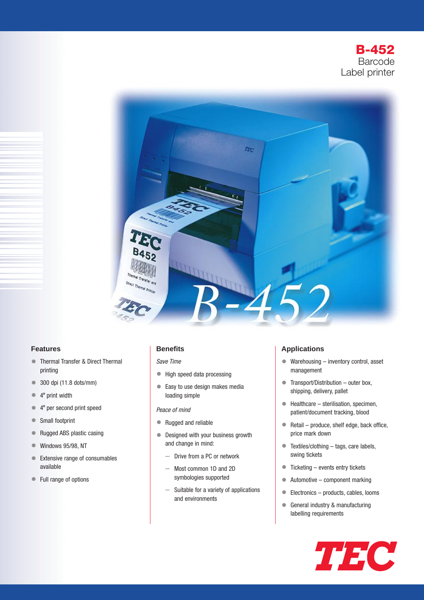



#### **Features**

- Thermal Transfer & Direct Thermal printing
- 300 dpi (11.8 dots/mm)
- $\bullet$  4" print width
- <sup>4</sup>" per second print speed
- Small footprint
- Rugged ABS plastic casing
- Windows 95/98, NT
- Extensive range of consumables available
- Full range of options

# **Benefits**

#### Save Time

- High speed data processing
- Easy to use design makes media loading simple

#### Peace of mind

- Rugged and reliable
- Designed with your business growth and change in mind:
	- Drive from a PC or network
	- Most common 1D and 2D symbologies supported
	- Suitable for a variety of applications and environments

# **Applications**

- Warehousing inventory control, asset management
- Transport/Distribution outer box, shipping, delivery, pallet
- Healthcare sterilisation, specimen, patient/document tracking, blood
- Retail produce, shelf edge, back office, price mark down
- Textiles/clothing tags, care labels, swing tickets
- Ticketing events entry tickets
- Automotive component marking
- Electronics products, cables, looms
- General industry & manufacturing labelling requirements